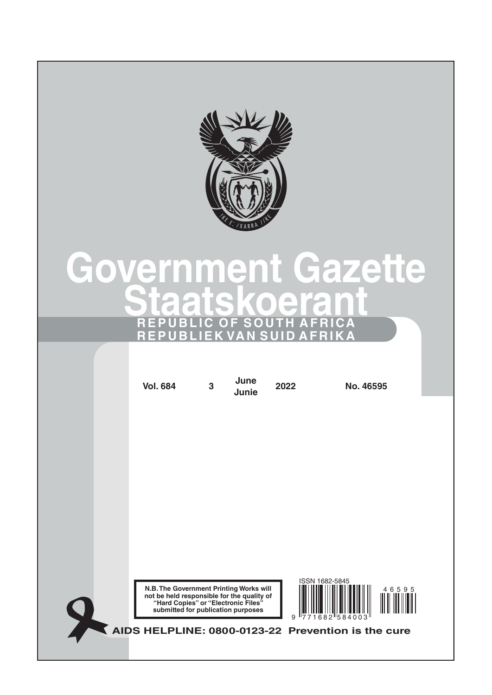

# **Government Gazette Staatskoerant REPUBLIC OF SOUTH AFRICA REPUBLIEK VAN SUID AFRIKA**

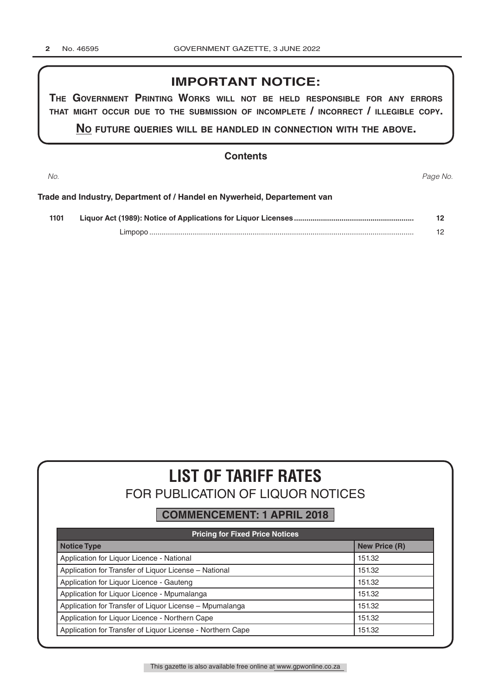### **IMPORTANT NOTICE:**

**The GovernmenT PrinTinG Works Will noT be held resPonsible for any errors ThaT miGhT occur due To The submission of incomPleTe / incorrecT / illeGible coPy.**

**no fuTure queries Will be handled in connecTion WiTh The above.**

#### **Contents**

*No.*

*Page No.*

| Trade and Industry, Department of / Handel en Nywerheid, Departement van |  |  |  |
|--------------------------------------------------------------------------|--|--|--|
|                                                                          |  |  |  |

| 1101 |  |
|------|--|
|      |  |

# **LIST OF TARIFF RATES**

FOR PUBLICATION OF LIQUOR NOTICES

## **COMMENCEMENT: 1 APRIL 2018**

| <b>Pricing for Fixed Price Notices</b>                     |                      |  |  |
|------------------------------------------------------------|----------------------|--|--|
| <b>Notice Type</b>                                         | <b>New Price (R)</b> |  |  |
| Application for Liquor Licence - National                  | 151.32               |  |  |
| Application for Transfer of Liquor License - National      | 151.32               |  |  |
| Application for Liquor Licence - Gauteng                   | 151.32               |  |  |
| Application for Liquor Licence - Mpumalanga                | 151.32               |  |  |
| Application for Transfer of Liquor License - Mpumalanga    | 151.32               |  |  |
| Application for Liquor Licence - Northern Cape             | 151.32               |  |  |
| Application for Transfer of Liquor License - Northern Cape | 151.32               |  |  |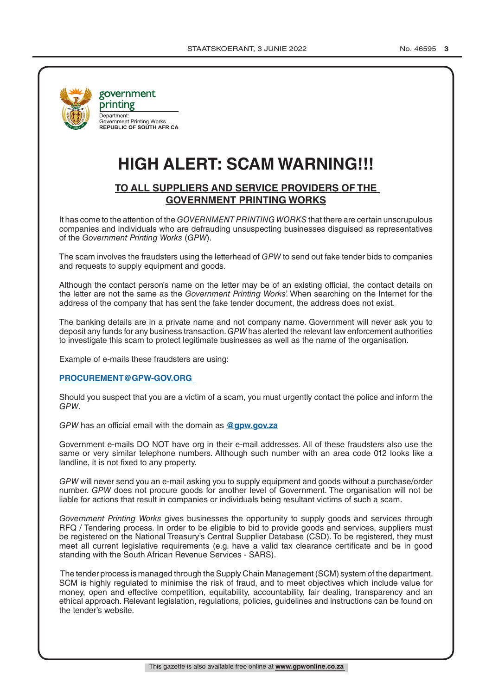

government printing Department:<br>Government Printing Works **REPUBLIC OF SOUTH AFRICA** 

# **HIGH ALERT: SCAM WARNING!!!**

### **TO ALL SUPPLIERS AND SERVICE PROVIDERS OF THE GOVERNMENT PRINTING WORKS**

It has come to the attention of the *GOVERNMENT PRINTING WORKS* that there are certain unscrupulous companies and individuals who are defrauding unsuspecting businesses disguised as representatives of the *Government Printing Works* (*GPW*).

The scam involves the fraudsters using the letterhead of *GPW* to send out fake tender bids to companies and requests to supply equipment and goods.

Although the contact person's name on the letter may be of an existing official, the contact details on the letter are not the same as the *Government Printing Works*'. When searching on the Internet for the address of the company that has sent the fake tender document, the address does not exist.

The banking details are in a private name and not company name. Government will never ask you to deposit any funds for any business transaction. *GPW* has alerted the relevant law enforcement authorities to investigate this scam to protect legitimate businesses as well as the name of the organisation.

Example of e-mails these fraudsters are using:

#### **PROCUREMENT@GPW-GOV.ORG**

Should you suspect that you are a victim of a scam, you must urgently contact the police and inform the *GPW*.

*GPW* has an official email with the domain as **@gpw.gov.za**

Government e-mails DO NOT have org in their e-mail addresses. All of these fraudsters also use the same or very similar telephone numbers. Although such number with an area code 012 looks like a landline, it is not fixed to any property.

*GPW* will never send you an e-mail asking you to supply equipment and goods without a purchase/order number. *GPW* does not procure goods for another level of Government. The organisation will not be liable for actions that result in companies or individuals being resultant victims of such a scam.

*Government Printing Works* gives businesses the opportunity to supply goods and services through RFQ / Tendering process. In order to be eligible to bid to provide goods and services, suppliers must be registered on the National Treasury's Central Supplier Database (CSD). To be registered, they must meet all current legislative requirements (e.g. have a valid tax clearance certificate and be in good standing with the South African Revenue Services - SARS).

 The tender process is managed through the Supply Chain Management (SCM) system of the department. SCM is highly regulated to minimise the risk of fraud, and to meet objectives which include value for money, open and effective competition, equitability, accountability, fair dealing, transparency and an ethical approach. Relevant legislation, regulations, policies, guidelines and instructions can be found on the tender's website.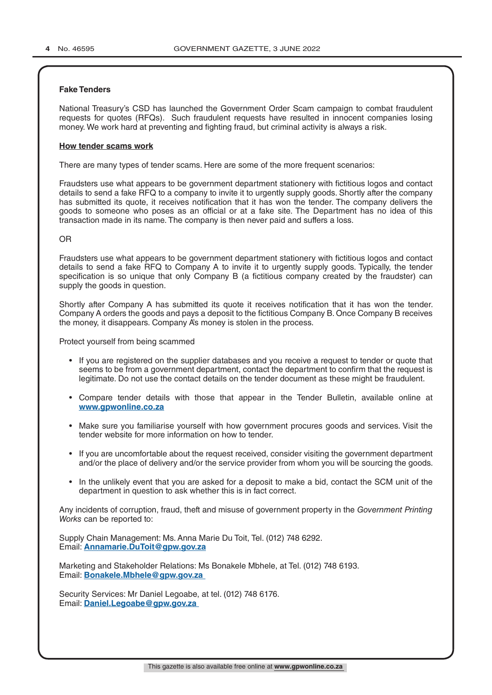#### **Fake Tenders**

National Treasury's CSD has launched the Government Order Scam campaign to combat fraudulent requests for quotes (RFQs). Such fraudulent requests have resulted in innocent companies losing money. We work hard at preventing and fighting fraud, but criminal activity is always a risk.

#### **How tender scams work**

There are many types of tender scams. Here are some of the more frequent scenarios:

Fraudsters use what appears to be government department stationery with fictitious logos and contact details to send a fake RFQ to a company to invite it to urgently supply goods. Shortly after the company has submitted its quote, it receives notification that it has won the tender. The company delivers the goods to someone who poses as an official or at a fake site. The Department has no idea of this transaction made in its name. The company is then never paid and suffers a loss.

#### OR

Fraudsters use what appears to be government department stationery with fictitious logos and contact details to send a fake RFQ to Company A to invite it to urgently supply goods. Typically, the tender specification is so unique that only Company B (a fictitious company created by the fraudster) can supply the goods in question.

Shortly after Company A has submitted its quote it receives notification that it has won the tender. Company A orders the goods and pays a deposit to the fictitious Company B. Once Company B receives the money, it disappears. Company A's money is stolen in the process.

Protect yourself from being scammed

- If you are registered on the supplier databases and you receive a request to tender or quote that seems to be from a government department, contact the department to confirm that the request is legitimate. Do not use the contact details on the tender document as these might be fraudulent.
- Compare tender details with those that appear in the Tender Bulletin, available online at **www.gpwonline.co.za**
- Make sure you familiarise yourself with how government procures goods and services. Visit the tender website for more information on how to tender.
- If you are uncomfortable about the request received, consider visiting the government department and/or the place of delivery and/or the service provider from whom you will be sourcing the goods.
- In the unlikely event that you are asked for a deposit to make a bid, contact the SCM unit of the department in question to ask whether this is in fact correct.

Any incidents of corruption, fraud, theft and misuse of government property in the *Government Printing Works* can be reported to:

Supply Chain Management: Ms. Anna Marie Du Toit, Tel. (012) 748 6292. Email: **Annamarie.DuToit@gpw.gov.za**

Marketing and Stakeholder Relations: Ms Bonakele Mbhele, at Tel. (012) 748 6193. Email: **Bonakele.Mbhele@gpw.gov.za** 

Security Services: Mr Daniel Legoabe, at tel. (012) 748 6176. Email: **Daniel.Legoabe@gpw.gov.za**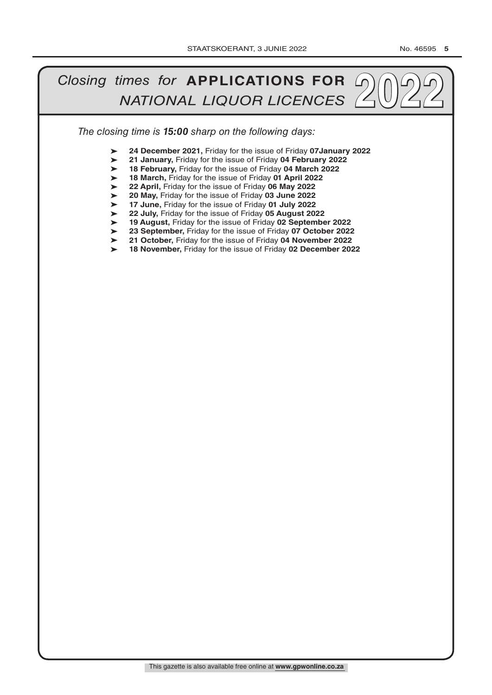# **2022** *Closing times for* **APPLICATIONS FOR NATIONAL LIQUOR LICENCES**

*The closing time is 15:00 sharp on the following days:*

- ➤ **24 December 2021,** Friday for the issue of Friday **07January 2022**
- ➤ **21 January,** Friday for the issue of Friday **04 February 2022**
- ➤ **18 February,** Friday for the issue of Friday **04 March 2022**
- ➤ **18 March,** Friday for the issue of Friday **01 April 2022**
- ➤ **22 April,** Friday for the issue of Friday **06 May 2022**
- ➤ **20 May,** Friday for the issue of Friday **03 June 2022**
- ➤ **17 June,** Friday for the issue of Friday **01 July 2022**
- ➤ **22 July,** Friday for the issue of Friday **05 August 2022**
- ➤ **19 August,** Friday for the issue of Friday **02 September 2022**
- ➤ **23 September,** Friday for the issue of Friday **07 October 2022**
- ➤ **21 October,** Friday for the issue of Friday **04 November 2022**
- ➤ **18 November,** Friday for the issue of Friday **02 December 2022**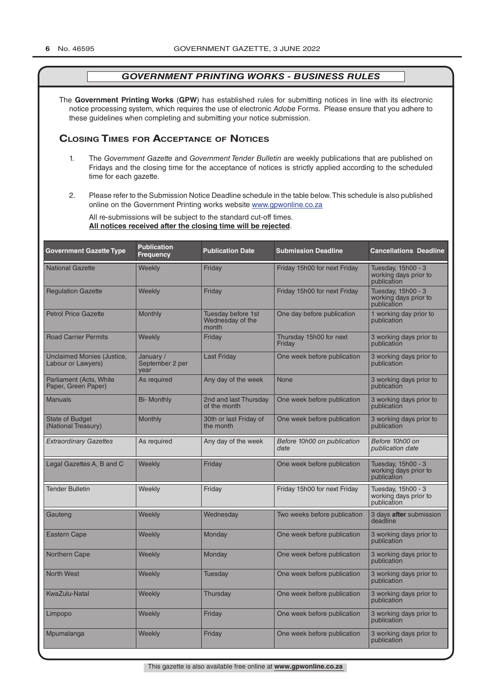The **Government Printing Works** (**GPW**) has established rules for submitting notices in line with its electronic notice processing system, which requires the use of electronic *Adobe* Forms. Please ensure that you adhere to these guidelines when completing and submitting your notice submission.

#### **Closing Times for ACCepTAnCe of noTiCes**

- 1. The *Government Gazette* and *Government Tender Bulletin* are weekly publications that are published on Fridays and the closing time for the acceptance of notices is strictly applied according to the scheduled time for each gazette.
- 2. Please refer to the Submission Notice Deadline schedule in the table below. This schedule is also published online on the Government Printing works website www.gpwonline.co.za

All re-submissions will be subject to the standard cut-off times. **All notices received after the closing time will be rejected**.

| <b>Government Gazette Type</b>                   | <b>Publication</b><br><b>Frequency</b> | <b>Publication Date</b>                                | <b>Submission Deadline</b>          | <b>Cancellations Deadline</b>                              |
|--------------------------------------------------|----------------------------------------|--------------------------------------------------------|-------------------------------------|------------------------------------------------------------|
| <b>National Gazette</b>                          | Weekly                                 | Friday                                                 | Friday 15h00 for next Friday        | Tuesday, 15h00 - 3<br>working days prior to<br>publication |
| <b>Regulation Gazette</b>                        | Weekly                                 | Friday                                                 | Friday 15h00 for next Friday        | Tuesday, 15h00 - 3<br>working days prior to<br>publication |
| <b>Petrol Price Gazette</b>                      | Monthly                                | <b>Tuesday before 1st</b><br>Wednesday of the<br>month | One day before publication          | 1 working day prior to<br>publication                      |
| <b>Road Carrier Permits</b>                      | Weekly                                 | Friday                                                 | Thursday 15h00 for next<br>Friday   | 3 working days prior to<br>publication                     |
| Unclaimed Monies (Justice,<br>Labour or Lawyers) | January /<br>September 2 per<br>vear   | <b>Last Friday</b>                                     | One week before publication         | 3 working days prior to<br>publication                     |
| Parliament (Acts, White<br>Paper, Green Paper)   | As required                            | Any day of the week                                    | None                                | 3 working days prior to<br>publication                     |
| Manuals                                          | <b>Bi- Monthly</b>                     | 2nd and last Thursday<br>of the month                  | One week before publication         | 3 working days prior to<br>publication                     |
| <b>State of Budget</b><br>(National Treasury)    | Monthly                                | 30th or last Friday of<br>the month                    | One week before publication         | 3 working days prior to<br>publication                     |
| <b>Extraordinary Gazettes</b>                    | As required                            | Any day of the week                                    | Before 10h00 on publication<br>date | Before 10h00 on<br>publication date                        |
| Legal Gazettes A, B and C                        | Weekly                                 | Friday                                                 | One week before publication         | Tuesday, 15h00 - 3<br>working days prior to<br>publication |
| <b>Tender Bulletin</b>                           | Weekly                                 | Friday                                                 | Friday 15h00 for next Friday        | Tuesday, 15h00 - 3<br>working days prior to<br>publication |
| Gauteng                                          | Weekly                                 | Wednesday                                              | Two weeks before publication        | 3 days after submission<br>deadline                        |
| <b>Eastern Cape</b>                              | Weekly                                 | Monday                                                 | One week before publication         | 3 working days prior to<br>publication                     |
| <b>Northern Cape</b>                             | Weekly                                 | Monday                                                 | One week before publication         | 3 working days prior to<br>publication                     |
| <b>North West</b>                                | Weekly                                 | Tuesday                                                | One week before publication         | 3 working days prior to<br>publication                     |
| KwaZulu-Natal                                    | Weekly                                 | Thursday                                               | One week before publication         | 3 working days prior to<br>publication                     |
| Limpopo                                          | Weekly                                 | Friday                                                 | One week before publication         | 3 working days prior to<br>publication                     |
| Mpumalanga                                       | Weekly                                 | Friday                                                 | One week before publication         | 3 working days prior to<br>publication                     |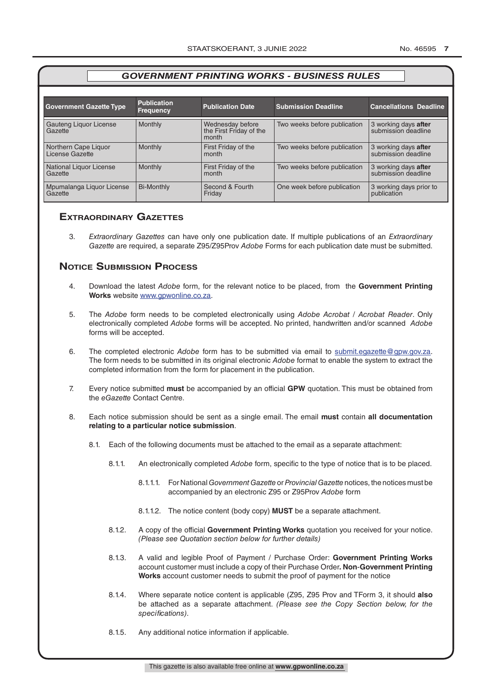| <b>Government Gazette Type</b>          | <b>Publication</b> | <b>Publication Date</b>                              | <b>Submission Deadline</b>   | <b>Cancellations Deadline</b>               |
|-----------------------------------------|--------------------|------------------------------------------------------|------------------------------|---------------------------------------------|
|                                         | Frequency          |                                                      |                              |                                             |
| Gauteng Liquor License<br>Gazette       | Monthly            | Wednesday before<br>the First Friday of the<br>month | Two weeks before publication | 3 working days after<br>submission deadline |
| Northern Cape Liquor<br>License Gazette | <b>Monthly</b>     | First Friday of the<br>month                         | Two weeks before publication | 3 working days after<br>submission deadline |
| National Liquor License<br>Gazette      | <b>Monthly</b>     | First Friday of the<br>month                         | Two weeks before publication | 3 working days after<br>submission deadline |
| Mpumalanga Liquor License<br>Gazette    | <b>Bi-Monthly</b>  | Second & Fourth<br>Friday                            | One week before publication  | 3 working days prior to<br>publication      |

#### **exTrAordinAry gAzeTTes**

3. *Extraordinary Gazettes* can have only one publication date. If multiple publications of an *Extraordinary Gazette* are required, a separate Z95/Z95Prov *Adobe* Forms for each publication date must be submitted.

#### **NOTICE SUBMISSION PROCESS**

- 4. Download the latest *Adobe* form, for the relevant notice to be placed, from the **Government Printing Works** website www.gpwonline.co.za.
- 5. The *Adobe* form needs to be completed electronically using *Adobe Acrobat* / *Acrobat Reader*. Only electronically completed *Adobe* forms will be accepted. No printed, handwritten and/or scanned *Adobe* forms will be accepted.
- 6. The completed electronic *Adobe* form has to be submitted via email to submit.egazette@gpw.gov.za. The form needs to be submitted in its original electronic *Adobe* format to enable the system to extract the completed information from the form for placement in the publication.
- 7. Every notice submitted **must** be accompanied by an official **GPW** quotation. This must be obtained from the *eGazette* Contact Centre.
- 8. Each notice submission should be sent as a single email. The email **must** contain **all documentation relating to a particular notice submission**.
	- 8.1. Each of the following documents must be attached to the email as a separate attachment:
		- 8.1.1. An electronically completed *Adobe* form, specific to the type of notice that is to be placed.
			- 8.1.1.1. For National *Government Gazette* or *Provincial Gazette* notices, the notices must be accompanied by an electronic Z95 or Z95Prov *Adobe* form
			- 8.1.1.2. The notice content (body copy) **MUST** be a separate attachment.
		- 8.1.2. A copy of the official **Government Printing Works** quotation you received for your notice. *(Please see Quotation section below for further details)*
		- 8.1.3. A valid and legible Proof of Payment / Purchase Order: **Government Printing Works** account customer must include a copy of their Purchase Order*.* **Non**-**Government Printing Works** account customer needs to submit the proof of payment for the notice
		- 8.1.4. Where separate notice content is applicable (Z95, Z95 Prov and TForm 3, it should **also** be attached as a separate attachment. *(Please see the Copy Section below, for the specifications)*.
		- 8.1.5. Any additional notice information if applicable.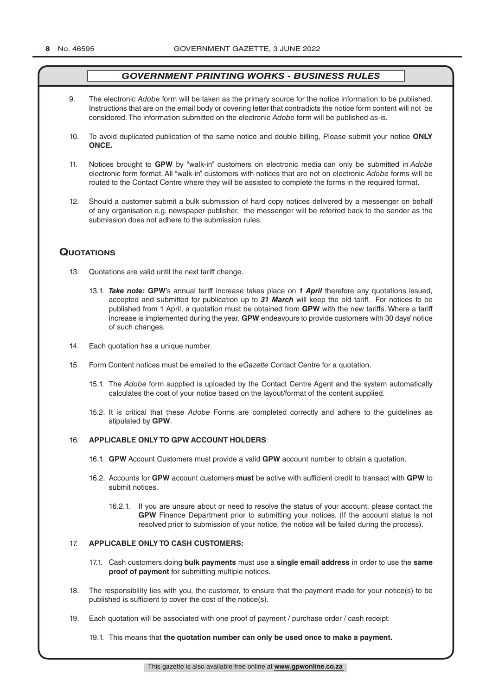- 9. The electronic *Adobe* form will be taken as the primary source for the notice information to be published. Instructions that are on the email body or covering letter that contradicts the notice form content will not be considered. The information submitted on the electronic *Adobe* form will be published as-is.
- 10. To avoid duplicated publication of the same notice and double billing, Please submit your notice **ONLY ONCE.**
- 11. Notices brought to **GPW** by "walk-in" customers on electronic media can only be submitted in *Adobe* electronic form format. All "walk-in" customers with notices that are not on electronic *Adobe* forms will be routed to the Contact Centre where they will be assisted to complete the forms in the required format.
- 12. Should a customer submit a bulk submission of hard copy notices delivered by a messenger on behalf of any organisation e.g. newspaper publisher, the messenger will be referred back to the sender as the submission does not adhere to the submission rules.

#### **QuoTATions**

- 13. Quotations are valid until the next tariff change.
	- 13.1. *Take note:* **GPW**'s annual tariff increase takes place on *1 April* therefore any quotations issued, accepted and submitted for publication up to *31 March* will keep the old tariff. For notices to be published from 1 April, a quotation must be obtained from **GPW** with the new tariffs. Where a tariff increase is implemented during the year, **GPW** endeavours to provide customers with 30 days' notice of such changes.
- 14. Each quotation has a unique number.
- 15. Form Content notices must be emailed to the *eGazette* Contact Centre for a quotation.
	- 15.1. The *Adobe* form supplied is uploaded by the Contact Centre Agent and the system automatically calculates the cost of your notice based on the layout/format of the content supplied.
	- 15.2. It is critical that these *Adobe* Forms are completed correctly and adhere to the guidelines as stipulated by **GPW**.

#### 16. **APPLICABLE ONLY TO GPW ACCOUNT HOLDERS**:

- 16.1. **GPW** Account Customers must provide a valid **GPW** account number to obtain a quotation.
- 16.2. Accounts for **GPW** account customers **must** be active with sufficient credit to transact with **GPW** to submit notices.
	- 16.2.1. If you are unsure about or need to resolve the status of your account, please contact the **GPW** Finance Department prior to submitting your notices. (If the account status is not resolved prior to submission of your notice, the notice will be failed during the process).

#### 17. **APPLICABLE ONLY TO CASH CUSTOMERS:**

- 17.1. Cash customers doing **bulk payments** must use a **single email address** in order to use the **same proof of payment** for submitting multiple notices.
- 18. The responsibility lies with you, the customer, to ensure that the payment made for your notice(s) to be published is sufficient to cover the cost of the notice(s).
- 19. Each quotation will be associated with one proof of payment / purchase order / cash receipt.

#### 19.1. This means that **the quotation number can only be used once to make a payment.**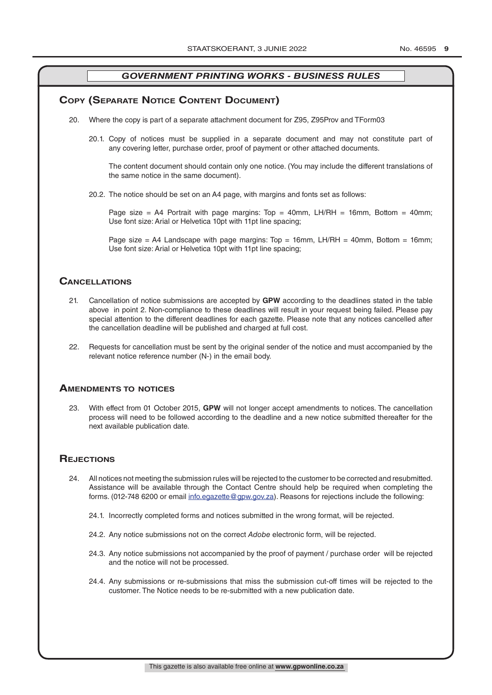#### **COPY (SEPARATE NOTICE CONTENT DOCUMENT)**

- 20. Where the copy is part of a separate attachment document for Z95, Z95Prov and TForm03
	- 20.1. Copy of notices must be supplied in a separate document and may not constitute part of any covering letter, purchase order, proof of payment or other attached documents.

The content document should contain only one notice. (You may include the different translations of the same notice in the same document).

20.2. The notice should be set on an A4 page, with margins and fonts set as follows:

Page size = A4 Portrait with page margins: Top = 40mm, LH/RH = 16mm, Bottom = 40mm; Use font size: Arial or Helvetica 10pt with 11pt line spacing;

Page size = A4 Landscape with page margins:  $Top = 16mm$ , LH/RH = 40mm, Bottom = 16mm; Use font size: Arial or Helvetica 10pt with 11pt line spacing;

#### **CAnCellATions**

- 21. Cancellation of notice submissions are accepted by **GPW** according to the deadlines stated in the table above in point 2. Non-compliance to these deadlines will result in your request being failed. Please pay special attention to the different deadlines for each gazette. Please note that any notices cancelled after the cancellation deadline will be published and charged at full cost.
- 22. Requests for cancellation must be sent by the original sender of the notice and must accompanied by the relevant notice reference number (N-) in the email body.

#### **AmendmenTs To noTiCes**

23. With effect from 01 October 2015, **GPW** will not longer accept amendments to notices. The cancellation process will need to be followed according to the deadline and a new notice submitted thereafter for the next available publication date.

#### **REJECTIONS**

- 24. All notices not meeting the submission rules will be rejected to the customer to be corrected and resubmitted. Assistance will be available through the Contact Centre should help be required when completing the forms. (012-748 6200 or email info.egazette@gpw.gov.za). Reasons for rejections include the following:
	- 24.1. Incorrectly completed forms and notices submitted in the wrong format, will be rejected.
	- 24.2. Any notice submissions not on the correct *Adobe* electronic form, will be rejected.
	- 24.3. Any notice submissions not accompanied by the proof of payment / purchase order will be rejected and the notice will not be processed.
	- 24.4. Any submissions or re-submissions that miss the submission cut-off times will be rejected to the customer. The Notice needs to be re-submitted with a new publication date.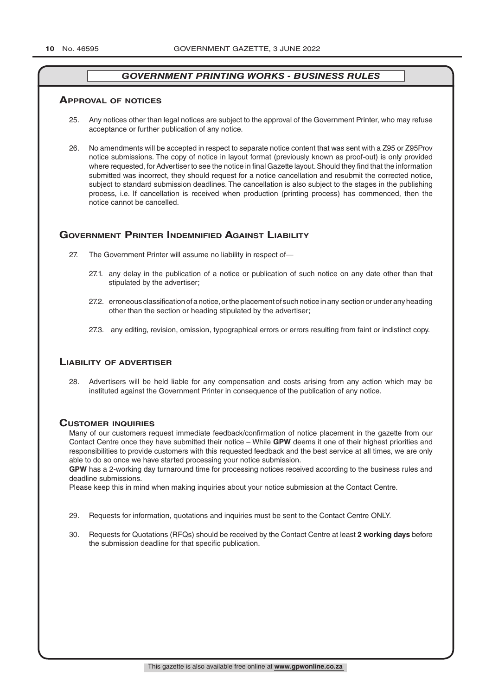#### **ApprovAl of noTiCes**

- 25. Any notices other than legal notices are subject to the approval of the Government Printer, who may refuse acceptance or further publication of any notice.
- 26. No amendments will be accepted in respect to separate notice content that was sent with a Z95 or Z95Prov notice submissions. The copy of notice in layout format (previously known as proof-out) is only provided where requested, for Advertiser to see the notice in final Gazette layout. Should they find that the information submitted was incorrect, they should request for a notice cancellation and resubmit the corrected notice, subject to standard submission deadlines. The cancellation is also subject to the stages in the publishing process, i.e. If cancellation is received when production (printing process) has commenced, then the notice cannot be cancelled.

#### **governmenT prinTer indemnified AgAinsT liAbiliTy**

- 27. The Government Printer will assume no liability in respect of—
	- 27.1. any delay in the publication of a notice or publication of such notice on any date other than that stipulated by the advertiser;
	- 27.2. erroneous classification of a notice, or the placement of such notice in any section or under any heading other than the section or heading stipulated by the advertiser;
	- 27.3. any editing, revision, omission, typographical errors or errors resulting from faint or indistinct copy.

#### **liAbiliTy of AdverTiser**

28. Advertisers will be held liable for any compensation and costs arising from any action which may be instituted against the Government Printer in consequence of the publication of any notice.

#### **CusTomer inQuiries**

Many of our customers request immediate feedback/confirmation of notice placement in the gazette from our Contact Centre once they have submitted their notice – While **GPW** deems it one of their highest priorities and responsibilities to provide customers with this requested feedback and the best service at all times, we are only able to do so once we have started processing your notice submission.

**GPW** has a 2-working day turnaround time for processing notices received according to the business rules and deadline submissions.

Please keep this in mind when making inquiries about your notice submission at the Contact Centre.

- 29. Requests for information, quotations and inquiries must be sent to the Contact Centre ONLY.
- 30. Requests for Quotations (RFQs) should be received by the Contact Centre at least **2 working days** before the submission deadline for that specific publication.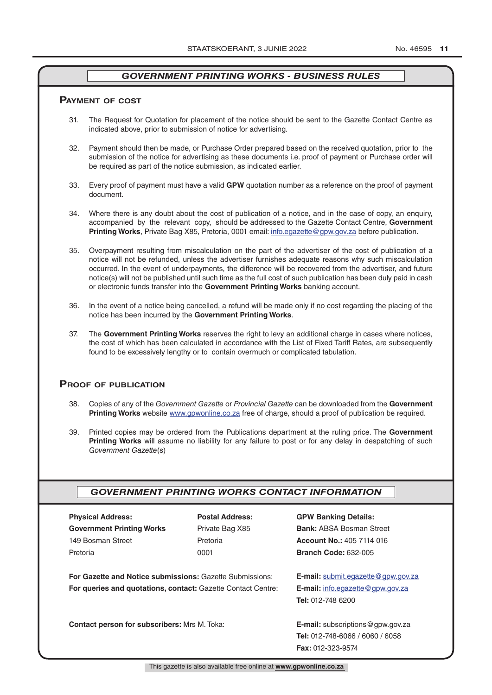#### **pAymenT of CosT**

- 31. The Request for Quotation for placement of the notice should be sent to the Gazette Contact Centre as indicated above, prior to submission of notice for advertising.
- 32. Payment should then be made, or Purchase Order prepared based on the received quotation, prior to the submission of the notice for advertising as these documents i.e. proof of payment or Purchase order will be required as part of the notice submission, as indicated earlier.
- 33. Every proof of payment must have a valid **GPW** quotation number as a reference on the proof of payment document.
- 34. Where there is any doubt about the cost of publication of a notice, and in the case of copy, an enquiry, accompanied by the relevant copy, should be addressed to the Gazette Contact Centre, **Government Printing Works**, Private Bag X85, Pretoria, 0001 email: info.egazette@gpw.gov.za before publication.
- 35. Overpayment resulting from miscalculation on the part of the advertiser of the cost of publication of a notice will not be refunded, unless the advertiser furnishes adequate reasons why such miscalculation occurred. In the event of underpayments, the difference will be recovered from the advertiser, and future notice(s) will not be published until such time as the full cost of such publication has been duly paid in cash or electronic funds transfer into the **Government Printing Works** banking account.
- 36. In the event of a notice being cancelled, a refund will be made only if no cost regarding the placing of the notice has been incurred by the **Government Printing Works**.
- 37. The **Government Printing Works** reserves the right to levy an additional charge in cases where notices, the cost of which has been calculated in accordance with the List of Fixed Tariff Rates, are subsequently found to be excessively lengthy or to contain overmuch or complicated tabulation.

#### **proof of publiCATion**

- 38. Copies of any of the *Government Gazette* or *Provincial Gazette* can be downloaded from the **Government Printing Works** website www.gpwonline.co.za free of charge, should a proof of publication be required.
- 39. Printed copies may be ordered from the Publications department at the ruling price. The **Government Printing Works** will assume no liability for any failure to post or for any delay in despatching of such *Government Gazette*(s)

**Fax:** 012-323-9574

#### *GOVERNMENT PRINTING WORKS CONTACT INFORMATION*

| <b>Physical Address:</b>                                                                                                 | <b>Postal Address:</b> | <b>GPW Banking Details:</b>                                                                               |
|--------------------------------------------------------------------------------------------------------------------------|------------------------|-----------------------------------------------------------------------------------------------------------|
| <b>Government Printing Works</b>                                                                                         | Private Bag X85        | <b>Bank: ABSA Bosman Street</b>                                                                           |
| 149 Bosman Street                                                                                                        | Pretoria               | <b>Account No.: 405 7114 016</b>                                                                          |
| Pretoria                                                                                                                 | 0001                   | <b>Branch Code: 632-005</b>                                                                               |
| For Gazette and Notice submissions: Gazette Submissions:<br>For queries and quotations, contact: Gazette Contact Centre: |                        | <b>E-mail:</b> submit.egazette@gpw.gov.za<br><b>E-mail:</b> info.egazette@gpw.gov.za<br>Tel: 012-748 6200 |
| <b>Contact person for subscribers: Mrs M. Toka:</b>                                                                      |                        | <b>E-mail:</b> subscriptions $@$ gpw.gov.za<br><b>Tel:</b> 012-748-6066 / 6060 / 6058                     |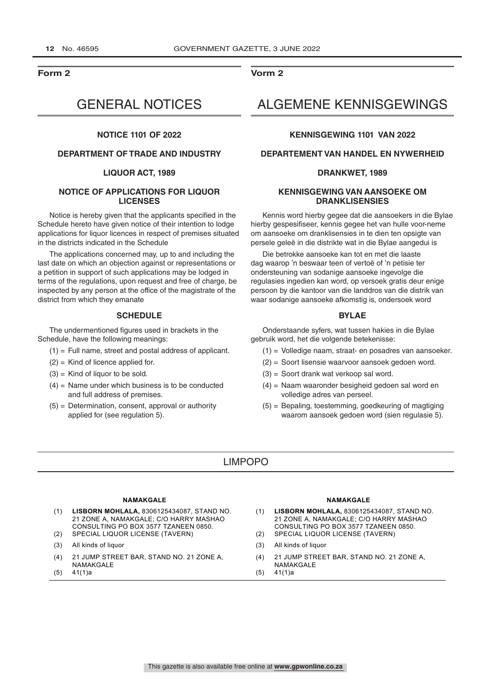#### **Form 2**

**Vorm 2**

## GENERAL NOTICES

#### **NOTICE 1101 OF 2022**

#### **DEPARTMENT OF TRADE AND INDUSTRY**

#### **LIQUOR ACT, 1989**

#### **NOTICE OF APPLICATIONS FOR LIQUOR LICENSES**

Notice is hereby given that the applicants specified in the Schedule hereto have given notice of their intention to lodge applications for liquor licences in respect of premises situated in the districts indicated in the Schedule

The applications concerned may, up to and including the last date on which an objection against or representations or a petition in support of such applications may be lodged in terms of the regulations, upon request and free of charge, be inspected by any person at the office of the magistrate of the district from which they emanate

#### **SCHEDULE**

The undermentioned figures used in brackets in the Schedule, have the following meanings:

- (1) = Full name, street and postal address of applicant.
- $(2)$  = Kind of licence applied for.
- $(3)$  = Kind of liquor to be sold.
- $(4)$  = Name under which business is to be conducted and full address of premises.
- $(5)$  = Determination, consent, approval or authority applied for (see regulation 5).

### ALGEMENE KENNISGEWINGS

#### **KENNISGEWING 1101 VAN 2022**

#### **DEPARTEMENT VAN HANDEL EN NYWERHEID**

#### **DRANKWET, 1989**

#### **KENNISGEWING VAN AANSOEKE OM DRANKLISENSIES**

Kennis word hierby gegee dat die aansoekers in die Bylae hierby gespesifiseer, kennis gegee het van hulle voor-neme om aansoeke om dranklisensies in te dien ten opsigte van persele geleë in die distrikte wat in die Bylae aangedui is

Die betrokke aansoeke kan tot en met die laaste dag waarop 'n beswaar teen of vertoë of 'n petisie ter ondersteuning van sodanige aansoeke ingevolge die regulasies ingedien kan word, op versoek gratis deur enige persoon by die kantoor van die landdros van die distrik van waar sodanige aansoeke afkomstig is, ondersoek word

#### **BYLAE**

Onderstaande syfers, wat tussen hakies in die Bylae gebruik word, het die volgende betekenisse:

- (1) = Volledige naam, straat- en posadres van aansoeker.
- (2) = Soort lisensie waarvoor aansoek gedoen word.
- (3) = Soort drank wat verkoop sal word.
- (4) = Naam waaronder besigheid gedoen sal word en volledige adres van perseel.
- (5) = Bepaling, toestemming, goedkeuring of magtiging waarom aansoek gedoen word (sien regulasie 5).

#### LIMPOPO

#### **NAMAKGALE NAMAKGALE**

- (1) **LISBORN MOHLALA,** 8306125434087, STAND NO. 21 ZONE A, NAMAKGALE; C/O HARRY MASHAO CONSULTING PO BOX 3577 TZANEEN 0850. (2) SPECIAL LIQUOR LICENSE (TAVERN) (2)
- 
- 
- (4) 21 JUMP STREET BAR, STAND NO. 21 ZONE A,
- NAMAKGALE<br>41(1)a (5) 41(1)a (5) 41(1)a

- (1) **LISBORN MOHLALA,** 8306125434087, STAND NO. 21 ZONE A, NAMAKGALE; C/O HARRY MASHAO CONSULTING PO BOX 3577 TZANEEN 0850.<br>SPECIAL LIQUOR LICENSE (TAVERN)
- 
- (3) All kinds of liquor (3) All kinds of liquor
	- (4) 21 JUMP STREET BAR, STAND NO. 21 ZONE A,
	- NAMAKGALE<br>41(1)a
	-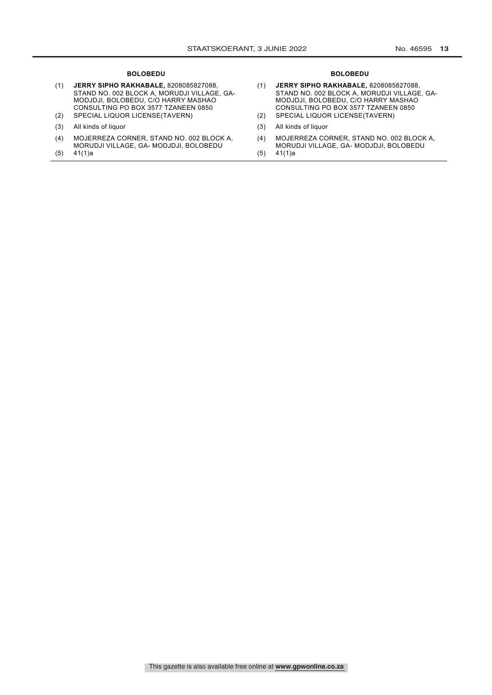- (1) **JERRY SIPHO RAKHABALE,** 8208085827088, STAND NO. 002 BLOCK A, MORUDJI VILLAGE, GA-MODJDJI, BOLOBEDU, C/O HARRY MASHAO CONSULTING PO BOX 3577 TZANEEN 0850
- 
- 
- (4) MOJERREZA CORNER, STAND NO. 002 BLOCK A, MORUDJI VILLAGE, GA- MODJDJI, BOLOBEDU
- 

#### **BOLOBEDU BOLOBEDU**

- (1) **JERRY SIPHO RAKHABALE,** 8208085827088, STAND NO. 002 BLOCK A, MORUDJI VILLAGE, GA-MODJDJI, BOLOBEDU, C/O HARRY MASHAO CONSULTING PO BOX 3577 TZANEEN 0850
- (2) SPECIAL LIQUOR LICENSE(TAVERN) (2) SPECIAL LIQUOR LICENSE(TAVERN)
- (3) All kinds of liquor (3) All kinds of liquor
	- (4) MOJERREZA CORNER, STAND NO. 002 BLOCK A,
	- MORUDJI VILLAGE, GA- MODJDJI, BOLOBEDU
- (5) 41(1)a (5) 41(1)a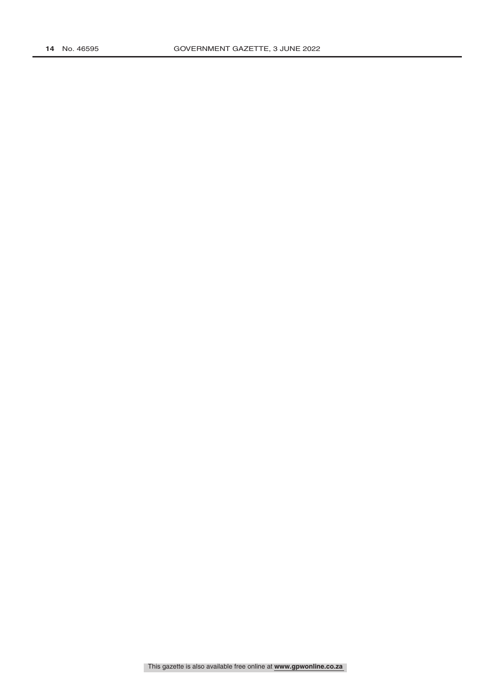This gazette is also available free online at **www.gpwonline.co.za**